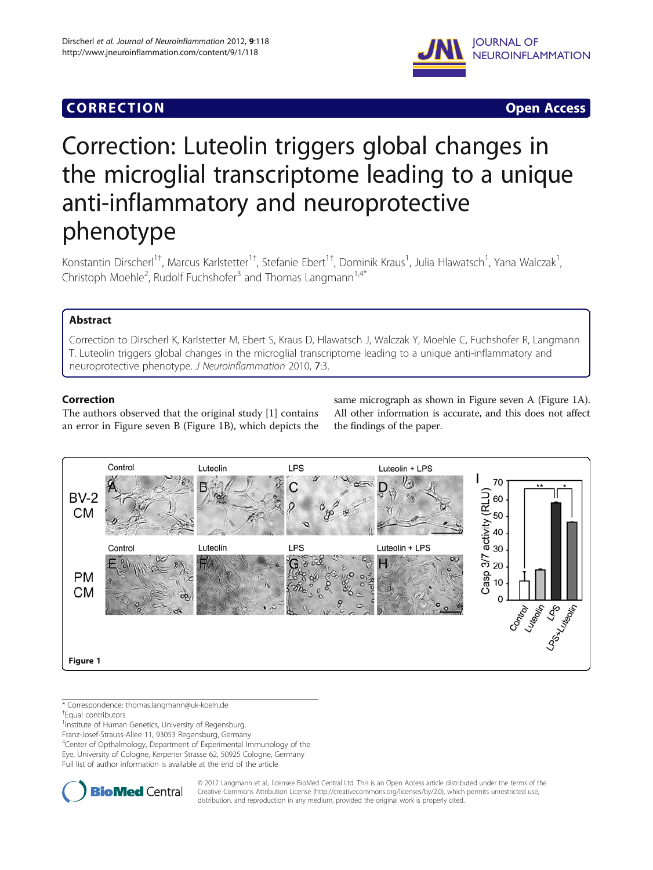# CORR EC TION Open Access



# Correction: Luteolin triggers global changes in the microglial transcriptome leading to a unique anti-inflammatory and neuroprotective phenotype

Konstantin Dirscherl<sup>1†</sup>, Marcus Karlstetter<sup>1†</sup>, Stefanie Ebert<sup>1†</sup>, Dominik Kraus<sup>1</sup>, Julia Hlawatsch<sup>1</sup>, Yana Walczak<sup>1</sup> , Christoph Moehle<sup>2</sup>, Rudolf Fuchshofer<sup>3</sup> and Thomas Langmann<sup>1,4\*</sup>

## **Abstract**

Correction to Dirscherl K, Karlstetter M, Ebert S, Kraus D, Hlawatsch J, Walczak Y, Moehle C, Fuchshofer R, Langmann T. Luteolin triggers global changes in the microglial transcriptome leading to a unique anti-inflammatory and neuroprotective phenotype. J Neuroinflammation 2010, 7:3.

## **Correction**

The authors observed that the original study [\[1](#page-1-0)] contains an error in Figure seven B (Figure 1B), which depicts the same micrograph as shown in Figure seven A (Figure 1A). All other information is accurate, and this does not affect the findings of the paper.



\* Correspondence: [thomas.langmann@uk-koeln.de](mailto:thomas.langmann@uk-koeln.de) †

<sup>1</sup>Institute of Human Genetics, University of Regensburg,

Franz-Josef-Strauss-Allee 11, 93053 Regensburg, Germany

4 Center of Opthalmology, Department of Experimental Immunology of the Eye, University of Cologne, Kerpener Strasse 62, 50925 Cologne, Germany Full list of author information is available at the end of the article



© 2012 Langmann et al.; licensee BioMed Central Ltd. This is an Open Access article distributed under the terms of the Creative Commons Attribution License (<http://creativecommons.org/licenses/by/2.0>), which permits unrestricted use, distribution, and reproduction in any medium, provided the original work is properly cited.

Equal contributors